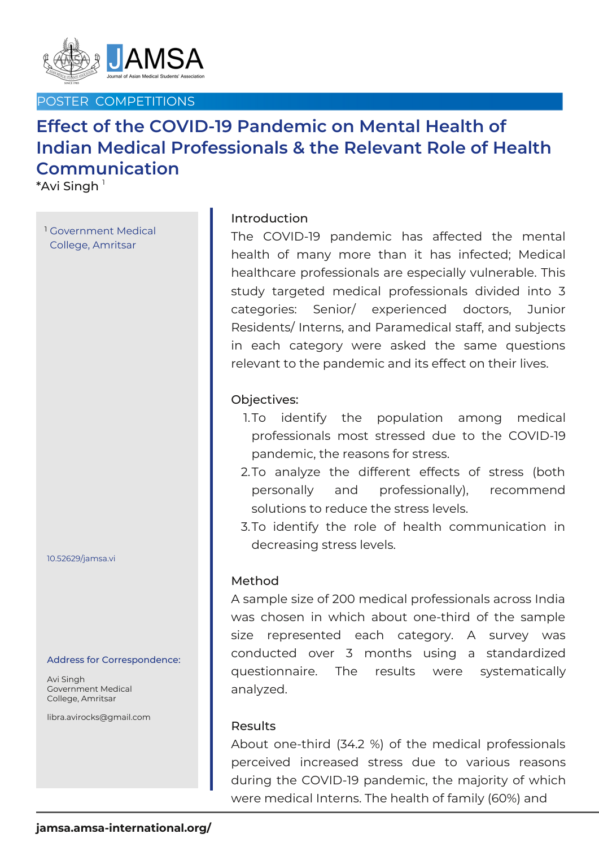

# POSTER COMPETITIONS

# **Effect of the COVID-19 Pandemic on Mental Health of Indian Medical Professionals & the Relevant Role of Health Communication**

 $^*$ Avi Singh  $^{\scriptscriptstyle \dagger}$ 

<sup>1</sup> Government Medical College, Amritsar

#### 10.52629/jamsa.vi

#### Address for Correspondence:

Avi Singh Government Medical College, Amritsar

libra.avirocks@gmail.com

## Introduction

The COVID-19 pandemic has affected the mental health of many more than it has infected; Medical healthcare professionals are especially vulnerable. This study targeted medical professionals divided into 3 categories: Senior/ experienced doctors, Junior Residents/ Interns, and Paramedical staff, and subjects in each category were asked the same questions relevant to the pandemic and its effect on their lives.

## Objectives:

- 1.To identify the population among medical professionals most stressed due to the COVID-19 pandemic, the reasons for stress.
- 2.To analyze the different effects of stress (both personally and professionally), recommend solutions to reduce the stress levels.
- 3.To identify the role of health communication in decreasing stress levels.

### Method

A sample size of 200 medical professionals across India was chosen in which about one-third of the sample size represented each category. A survey was conducted over 3 months using a standardized questionnaire. The results were systematically analyzed.

### Results

About one-third (34.2 %) of the medical professionals perceived increased stress due to various reasons during the COVID-19 pandemic, the majority of which were medical Interns. The health of family (60%) and